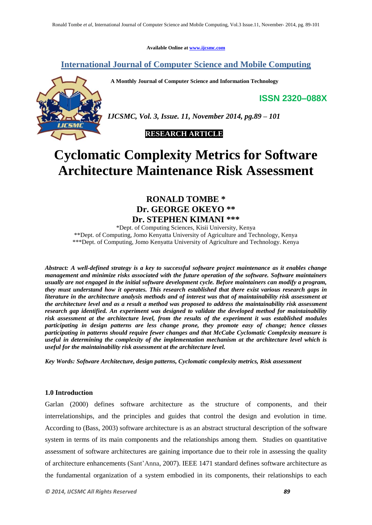**Available Online at www.ijcsmc.com**

# **International Journal of Computer Science and Mobile Computing**

 **A Monthly Journal of Computer Science and Information Technology**

**ISSN 2320–088X**



*IJCSMC, Vol. 3, Issue. 11, November 2014, pg.89 – 101*

 **RESEARCH ARTICLE**

# **Cyclomatic Complexity Metrics for Software Architecture Maintenance Risk Assessment**

# **RONALD TOMBE \* Dr. GEORGE OKEYO \*\* Dr. STEPHEN KIMANI \*\*\***

\*Dept. of Computing Sciences, Kisii University, Kenya \*\*Dept. of Computing, Jomo Kenyatta University of Agriculture and Technology, Kenya \*\*\*Dept. of Computing, Jomo Kenyatta University of Agriculture and Technology. Kenya

*Abstract: A well-defined strategy is a key to successful software project maintenance as it enables change management and minimize risks associated with the future operation of the software. Software maintainers usually are not engaged in the initial software development cycle. Before maintainers can modify a program, they must understand how it operates. This research established that there exist various research gaps in literature in the architecture analysis methods and of interest was that of maintainability risk assessment at the architecture level and as a result a method was proposed to address the maintainability risk assessment research gap identified. An experiment was designed to validate the developed method for maintainability risk assessment at the architecture level, from the results of the experiment it was established modules participating in design patterns are less change prone, they promote easy of change; hence classes participating in patterns should require fewer changes and that McCabe Cyclomatic Complexity measure is useful in determining the complexity of the implementation mechanism at the architecture level which is useful for the maintainability risk assessment at the architecture level.*

*Key Words: Software Architecture, design patterns, Cyclomatic complexity metrics, Risk assessment*

# **1.0 Introduction**

Garlan (2000) defines software architecture as the structure of components, and their interrelationships, and the principles and guides that control the design and evolution in time. According to (Bass, 2003) software architecture is as an abstract structural description of the software system in terms of its main components and the relationships among them. Studies on quantitative assessment of software architectures are gaining importance due to their role in assessing the quality of architecture enhancements (Sant'Anna, 2007). IEEE 1471 standard defines software architecture as the fundamental organization of a system embodied in its components, their relationships to each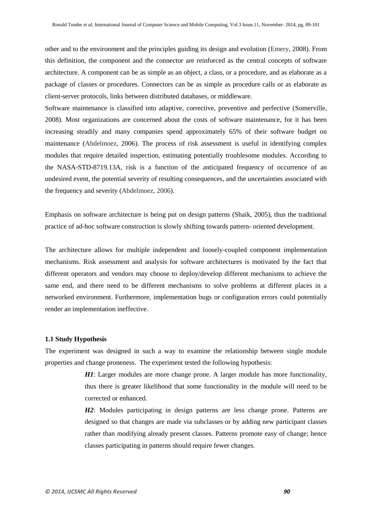other and to the environment and the principles guiding its design and evolution (Emery, 2008). From this definition, the component and the connector are reinforced as the central concepts of software architecture. A component can be as simple as an object, a class, or a procedure, and as elaborate as a package of classes or procedures. Connectors can be as simple as procedure calls or as elaborate as client-server protocols, links between distributed databases, or middleware.

Software maintenance is classified into adaptive, corrective, preventive and perfective (Somerville, 2008). Most organizations are concerned about the costs of software maintenance, for it has been increasing steadily and many companies spend approximately 65% of their software budget on maintenance (Abdelmoez, 2006). The process of risk assessment is useful in identifying complex modules that require detailed inspection, estimating potentially troublesome modules. According to the NASA-STD-8719.13A, risk is a function of the anticipated frequency of occurrence of an undesired event, the potential severity of resulting consequences, and the uncertainties associated with the frequency and severity (Abdelmoez, 2006).

Emphasis on software architecture is being put on design patterns (Shaik, 2005), thus the traditional practice of ad-hoc software construction is slowly shifting towards pattern- oriented development.

The architecture allows for multiple independent and loosely-coupled component implementation mechanisms. Risk assessment and analysis for software architectures is motivated by the fact that different operators and vendors may choose to deploy/develop different mechanisms to achieve the same end, and there need to be different mechanisms to solve problems at different places in a networked environment. Furthermore, implementation bugs or configuration errors could potentially render an implementation ineffective.

#### **1.1 Study Hypothesis**

The experiment was designed in such a way to examine the relationship between single module properties and change proneness. The experiment tested the following hypothesis:

> *H1*: Larger modules are more change prone. A larger module has more functionality, thus there is greater likelihood that some functionality in the module will need to be corrected or enhanced.

> *H2*: Modules participating in design patterns are less change prone. Patterns are designed so that changes are made via subclasses or by adding new participant classes rather than modifying already present classes. Patterns promote easy of change; hence classes participating in patterns should require fewer changes.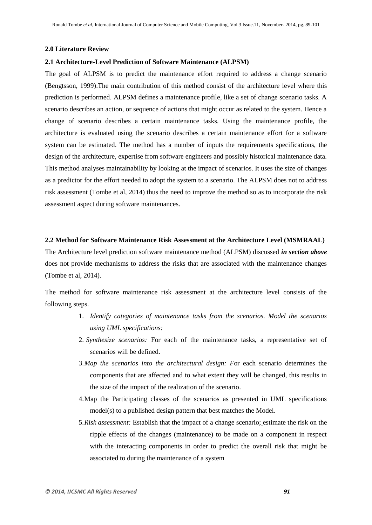#### **2.0 Literature Review**

#### **2.1 Architecture-Level Prediction of Software Maintenance (ALPSM)**

The goal of ALPSM is to predict the maintenance effort required to address a change scenario (Bengtsson, 1999).The main contribution of this method consist of the architecture level where this prediction is performed. ALPSM defines a maintenance profile, like a set of change scenario tasks. A scenario describes an action, or sequence of actions that might occur as related to the system. Hence a change of scenario describes a certain maintenance tasks. Using the maintenance profile, the architecture is evaluated using the scenario describes a certain maintenance effort for a software system can be estimated. The method has a number of inputs the requirements specifications, the design of the architecture, expertise from software engineers and possibly historical maintenance data. This method analyses maintainability by looking at the impact of scenarios. It uses the size of changes as a predictor for the effort needed to adopt the system to a scenario. The ALPSM does not to address risk assessment (Tombe et al, 2014) thus the need to improve the method so as to incorporate the risk assessment aspect during software maintenances.

#### **2.2 Method for Software Maintenance Risk Assessment at the Architecture Level (MSMRAAL)**

The Architecture level prediction software maintenance method (ALPSM) discussed *in section above* does not provide mechanisms to address the risks that are associated with the maintenance changes (Tombe et al, 2014).

The method for software maintenance risk assessment at the architecture level consists of the following steps.

- 1. *Identify categories of maintenance tasks from the scenarios. Model the scenarios using UML specifications:*
- 2. *Synthesize scenarios:* For each of the maintenance tasks, a representative set of scenarios will be defined.
- 3.*Map the scenarios into the architectural design: F*or each scenario determines the components that are affected and to what extent they will be changed, this results in the size of the impact of the realization of the scenario.
- 4.Map the Participating classes of the scenarios as presented in UML specifications model(s) to a published design pattern that best matches the Model.
- 5.*Risk assessment:* Establish that the impact of a change scenario; estimate the risk on the ripple effects of the changes (maintenance) to be made on a component in respect with the interacting components in order to predict the overall risk that might be associated to during the maintenance of a system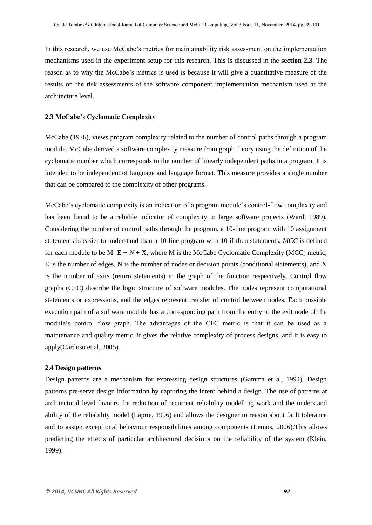In this research, we use McCabe's metrics for maintainability risk assessment on the implementation mechanisms used in the experiment setup for this research. This is discussed in the **section 2.3**. The reason as to why the McCabe's metrics is used is because it will give a quantitative measure of the results on the risk assessments of the software component implementation mechanism used at the architecture level.

#### **2.3 McCabe's Cyclomatic Complexity**

McCabe (1976), views program complexity related to the number of control paths through a program module. McCabe derived a software complexity measure from graph theory using the definition of the cyclomatic number which corresponds to the number of linearly independent paths in a program. It is intended to be independent of language and language format. This measure provides a single number that can be compared to the complexity of other programs.

McCabe's cyclomatic complexity is an indication of a program module's control-flow complexity and has been found to be a reliable indicator of complexity in large software projects (Ward, 1989). Considering the number of control paths through the program, a 10-line program with 10 assignment statements is easier to understand than a 10-line program with 10 if-then statements. *MCC* is defined for each module to be M=E *− N* + X, where M is the McCabe Cyclomatic Complexity (MCC) metric, E is the number of edges, N is the number of nodes or decision points (conditional statements), and X is the number of exits (return statements) in the graph of the function respectively. Control flow graphs (CFC) describe the logic structure of software modules. The nodes represent computational statements or expressions, and the edges represent transfer of control between nodes. Each possible execution path of a software module has a corresponding path from the entry to the exit node of the module's control flow graph. The advantages of the CFC metric is that it can be used as a maintenance and quality metric, it gives the relative complexity of process designs, and it is easy to apply(Cardoso et al, 2005).

# **2.4 Design patterns**

Design patterns are a mechanism for expressing design structures (Gamma et al, 1994). Design patterns pre-serve design information by capturing the intent behind a design. The use of patterns at architectural level favours the reduction of recurrent reliability modelling work and the understand ability of the reliability model (Laprie, 1996) and allows the designer to reason about fault tolerance and to assign exceptional behaviour responsibilities among components (Lemos, 2006).This allows predicting the effects of particular architectural decisions on the reliability of the system (Klein, 1999).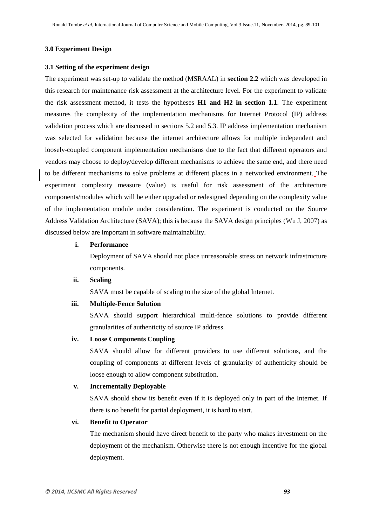#### **3.0 Experiment Design**

#### **3.1 Setting of the experiment design**

The experiment was set-up to validate the method (MSRAAL) in **section 2.2** which was developed in this research for maintenance risk assessment at the architecture level. For the experiment to validate the risk assessment method, it tests the hypotheses **H1 and H2 in section 1.1**. The experiment measures the complexity of the implementation mechanisms for Internet Protocol (IP) address validation process which are discussed in sections 5.2 and 5.3. IP address implementation mechanism was selected for validation because the internet architecture allows for multiple independent and loosely-coupled component implementation mechanisms due to the fact that different operators and vendors may choose to deploy/develop different mechanisms to achieve the same end, and there need to be different mechanisms to solve problems at different places in a networked environment. The experiment complexity measure (value) is useful for risk assessment of the architecture components/modules which will be either upgraded or redesigned depending on the complexity value of the implementation module under consideration. The experiment is conducted on the Source Address Validation Architecture (SAVA); this is because the SAVA design principles (Wu J, 2007) as discussed below are important in software maintainability.

# **i. Performance**

Deployment of SAVA should not place unreasonable stress on network infrastructure components.

#### **ii. Scaling**

SAVA must be capable of scaling to the size of the global Internet.

# **iii. Multiple-Fence Solution**

SAVA should support hierarchical multi-fence solutions to provide different granularities of authenticity of source IP address.

# **iv. Loose Components Coupling**

SAVA should allow for different providers to use different solutions, and the coupling of components at different levels of granularity of authenticity should be loose enough to allow component substitution.

#### **v. Incrementally Deployable**

SAVA should show its benefit even if it is deployed only in part of the Internet. If there is no benefit for partial deployment, it is hard to start.

# **vi. Benefit to Operator**

The mechanism should have direct benefit to the party who makes investment on the deployment of the mechanism. Otherwise there is not enough incentive for the global deployment.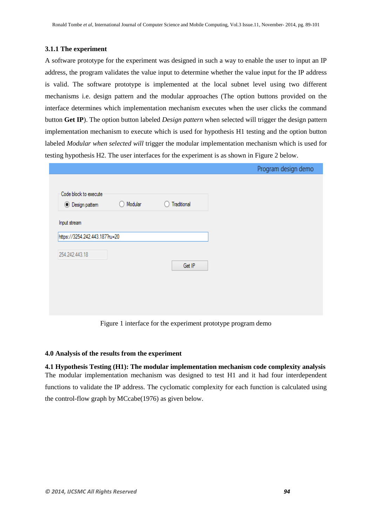# **3.1.1 The experiment**

A software prototype for the experiment was designed in such a way to enable the user to input an IP address, the program validates the value input to determine whether the value input for the IP address is valid. The software prototype is implemented at the local subnet level using two different mechanisms i.e. design pattern and the modular approaches (The option buttons provided on the interface determines which implementation mechanism executes when the user clicks the command button **Get IP**). The option button labeled *Design pattern* when selected will trigger the design pattern implementation mechanism to execute which is used for hypothesis H1 testing and the option button labeled *Modular when selected will* trigger the modular implementation mechanism which is used for testing hypothesis H2. The user interfaces for the experiment is as shown in Figure 2 below.

|                                |         |             | Program design demo |  |
|--------------------------------|---------|-------------|---------------------|--|
|                                |         |             |                     |  |
| Code block to execute          |         |             |                     |  |
| ◉ Design pattem                | Modular | Traditional |                     |  |
|                                |         |             |                     |  |
| Input stream                   |         |             |                     |  |
| https://3254.242.443.187?ru=20 |         |             |                     |  |
|                                |         |             |                     |  |
| 254.242.443.18                 |         |             |                     |  |
|                                |         |             |                     |  |
|                                |         | Get IP      |                     |  |
|                                |         |             |                     |  |
|                                |         |             |                     |  |
|                                |         |             |                     |  |
|                                |         |             |                     |  |
|                                |         |             |                     |  |

Figure 1 interface for the experiment prototype program demo

# **4.0 Analysis of the results from the experiment**

**4.1 Hypothesis Testing (H1): The modular implementation mechanism code complexity analysis** The modular implementation mechanism was designed to test H1 and it had four interdependent functions to validate the IP address. The cyclomatic complexity for each function is calculated using the control-flow graph by MCcabe(1976) as given below.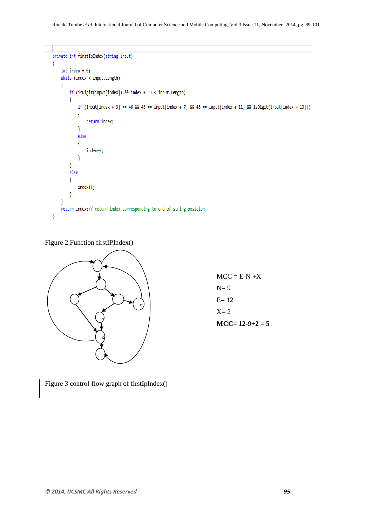```
private int firstIpIndex(string input)
-{
    int index = 0;while (index < input.length)\{if (isDigit(input[index]) && index + 13 < input. Length)
        \{if (input[index + 3] == 46 && 46 == input[index + 7] && 46 == input[index + 11] && isDigit(input[index + 13]))
             \{return index;
             <sup>}</sup>
            else
             \{index++;1
        ł
        else
        \{index++;
        \mathcal{E}ł
    return index;// return index corresponding to end of string position
\mathcal{E}
```
Figure 2 Function firstIPIndex()



 $MCC = E-N+X$  $N= 9$ E= 12  $X=2$  $MCC= 12-9+2=5$ 

Figure 3 control-flow graph of firstIpIndex()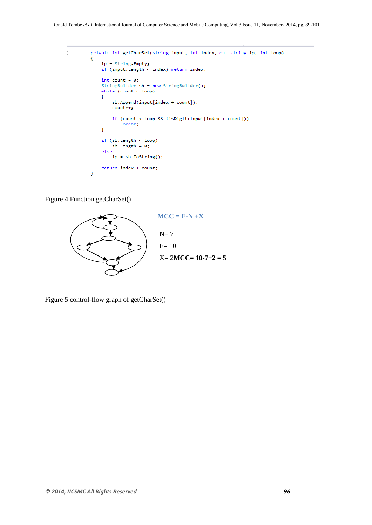```
ŋ.
           private int getCharSet(string input, int index, out string ip, int loop)
           \mathcal{L}_{\mathcal{L}}ip = String.Empty;<br>if (input.Length < index) return index;
                int count = 0;<br>StringBuilder sb = new StringBuilder();
                while (count < loop)₹
                      sb.Append(input[index + count]);
                     count++;
                      if (count < loop && !isDigit(input[index + count]))
                           break;
                \overline{\mathbf{r}}if (\text{sb.length} \lt \text{loop})sb.length = 0;else
                      ip = sb.ToString();return index + count;
           \mathcal{Y}
```
Figure 4 Function getCharSet()



Figure 5 control-flow graph of getCharSet()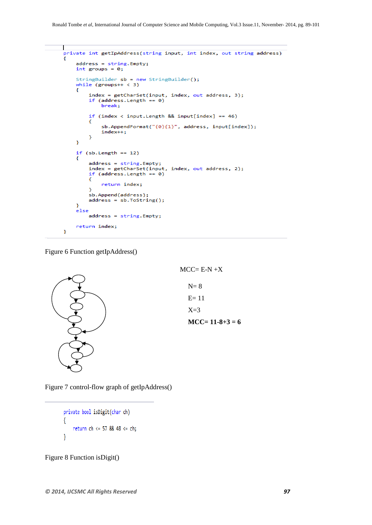```
|<br>private int getIpAddress(string input, int index, out string address)
ł
    address = string.Empty;<br>int groups = 0;
    StringBuilder sb = new StringBuilder();<br>while (groups++ < 3)
     ₹
         index = getCharSet(input, index, out address, 3);<br>if (address.Length == 0)
              break;
         if (index < input. Length && input[index] == 46)
         ł
              sb.AppendFormat("{0}{1}", address, input[index]);
              index++;ŀ
    \mathbf{a}if (sb.length == 12)₹
         address = string.Empty;
         index = getCharSet(input, index, out address, 2);
         if (address.length == 0)€
              return index;
         ¥
         ,<br>sb.Append(address);
         address = sb.ToString();ŀ
    else
         address = string.Empty;
    return index;
P,
```
Figure 6 Function getIpAddress()





Figure 7 control-flow graph of getIpAddress()

private bool isDigit(char ch) ł return ch <= 57 && 48 <= ch; ₹

Figure 8 Function isDigit()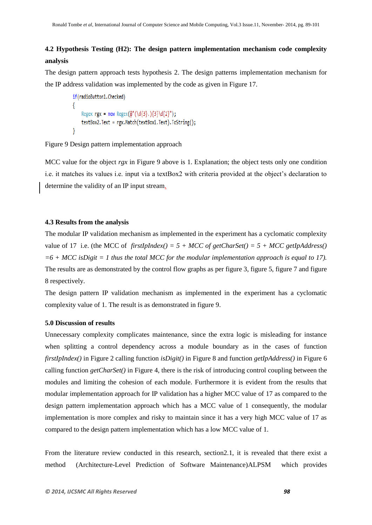# **4.2 Hypothesis Testing (H2): The design pattern implementation mechanism code complexity analysis**

The design pattern approach tests hypothesis 2. The design patterns implementation mechanism for the IP address validation was implemented by the code as given in Figure 17.

```
if(radioButton1.Checked)
ſ
    Regex rgx = new Regex(@"(\d{3}.){3}\d{2}");
    textBox2.Text = rgx.Match(textBox1.Text).ToString();
```
Figure 9 Design pattern implementation approach

MCC value for the object *rgx* in Figure 9 above is 1. Explanation; the object tests only one condition i.e. it matches its values i.e. input via a textBox2 with criteria provided at the object's declaration to determine the validity of an IP input stream.

# **4.3 Results from the analysis**

The modular IP validation mechanism as implemented in the experiment has a cyclomatic complexity value of 17 i.e. (the MCC of *firstIpIndex()* =  $5 + MCC$  *of getCharSet()* =  $5 + MCC$  *getIpAddress()*  $=6 + MCC$  is Digit  $= 1$  thus the total MCC for the modular implementation approach is equal to 17). The results are as demonstrated by the control flow graphs as per figure 3, figure 5, figure 7 and figure 8 respectively.

The design pattern IP validation mechanism as implemented in the experiment has a cyclomatic complexity value of 1. The result is as demonstrated in figure 9.

# **5.0 Discussion of results**

Unnecessary complexity complicates maintenance, since the extra logic is misleading for instance when splitting a control dependency across a module boundary as in the cases of function *firstIpIndex()* in Figure 2 calling function *isDigit()* in Figure 8 and function *getIpAddress()* in Figure 6 calling function *getCharSet()* in Figure 4, there is the risk of introducing control coupling between the modules and limiting the cohesion of each module. Furthermore it is evident from the results that modular implementation approach for IP validation has a higher MCC value of 17 as compared to the design pattern implementation approach which has a MCC value of 1 consequently, the modular implementation is more complex and risky to maintain since it has a very high MCC value of 17 as compared to the design pattern implementation which has a low MCC value of 1.

From the literature review conducted in this research, section2.1, it is revealed that there exist a method (Architecture-Level Prediction of Software Maintenance)ALPSM which provides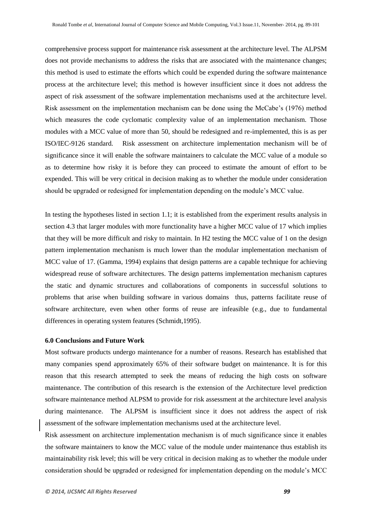comprehensive process support for maintenance risk assessment at the architecture level. The ALPSM does not provide mechanisms to address the risks that are associated with the maintenance changes; this method is used to estimate the efforts which could be expended during the software maintenance process at the architecture level; this method is however insufficient since it does not address the aspect of risk assessment of the software implementation mechanisms used at the architecture level. Risk assessment on the implementation mechanism can be done using the McCabe's (1976) method which measures the code cyclomatic complexity value of an implementation mechanism. Those modules with a MCC value of more than 50, should be redesigned and re-implemented, this is as per ISO/IEC-9126 standard. Risk assessment on architecture implementation mechanism will be of significance since it will enable the software maintainers to calculate the MCC value of a module so as to determine how risky it is before they can proceed to estimate the amount of effort to be expended. This will be very critical in decision making as to whether the module under consideration should be upgraded or redesigned for implementation depending on the module's MCC value.

In testing the hypotheses listed in section 1.1; it is established from the experiment results analysis in section 4.3 that larger modules with more functionality have a higher MCC value of 17 which implies that they will be more difficult and risky to maintain. In H2 testing the MCC value of 1 on the design pattern implementation mechanism is much lower than the modular implementation mechanism of MCC value of 17. (Gamma, 1994) explains that design patterns are a capable technique for achieving widespread reuse of software architectures. The design patterns implementation mechanism captures the static and dynamic structures and collaborations of components in successful solutions to problems that arise when building software in various domains thus, patterns facilitate reuse of software architecture, even when other forms of reuse are infeasible (e.g., due to fundamental differences in operating system features (Schmidt,1995).

## **6.0 Conclusions and Future Work**

Most software products undergo maintenance for a number of reasons. Research has established that many companies spend approximately 65% of their software budget on maintenance. It is for this reason that this research attempted to seek the means of reducing the high costs on software maintenance. The contribution of this research is the extension of the Architecture level prediction software maintenance method ALPSM to provide for risk assessment at the architecture level analysis during maintenance. The ALPSM is insufficient since it does not address the aspect of risk assessment of the software implementation mechanisms used at the architecture level.

Risk assessment on architecture implementation mechanism is of much significance since it enables the software maintainers to know the MCC value of the module under maintenance thus establish its maintainability risk level; this will be very critical in decision making as to whether the module under consideration should be upgraded or redesigned for implementation depending on the module's MCC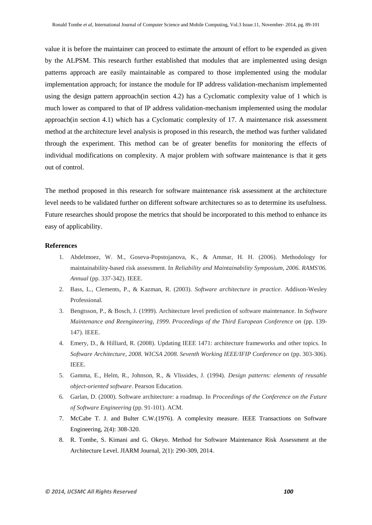value it is before the maintainer can proceed to estimate the amount of effort to be expended as given by the ALPSM. This research further established that modules that are implemented using design patterns approach are easily maintainable as compared to those implemented using the modular implementation approach; for instance the module for IP address validation-mechanism implemented using the design pattern approach(in section 4.2) has a Cyclomatic complexity value of 1 which is much lower as compared to that of IP address validation-mechanism implemented using the modular approach(in section 4.1) which has a Cyclomatic complexity of 17. A maintenance risk assessment method at the architecture level analysis is proposed in this research, the method was further validated through the experiment. This method can be of greater benefits for monitoring the effects of individual modifications on complexity. A major problem with software maintenance is that it gets out of control.

The method proposed in this research for software maintenance risk assessment at the architecture level needs to be validated further on different software architectures so as to determine its usefulness. Future researches should propose the metrics that should be incorporated to this method to enhance its easy of applicability.

#### **References**

- 1. Abdelmoez, W. M., Goseva-Popstojanova, K., & Ammar, H. H. (2006). Methodology for maintainability-based risk assessment. In *Reliability and Maintainability Symposium, 2006. RAMS'06. Annual* (pp. 337-342). IEEE.
- 2. Bass, L., Clements, P., & Kazman, R. (2003). *Software architecture in practice*. Addison-Wesley Professional.
- 3. Bengtsson, P., & Bosch, J. (1999). Architecture level prediction of software maintenance. In *Software Maintenance and Reengineering, 1999. Proceedings of the Third European Conference on* (pp. 139- 147). IEEE.
- 4. Emery, D., & Hilliard, R. (2008). Updating IEEE 1471: architecture frameworks and other topics. In *Software Architecture, 2008. WICSA 2008. Seventh Working IEEE/IFIP Conference on* (pp. 303-306). IEEE.
- 5. Gamma, E., Helm, R., Johnson, R., & Vlissides, J. (1994). *Design patterns: elements of reusable object-oriented software*. Pearson Education.
- 6. Garlan, D. (2000). Software architecture: a roadmap. In *Proceedings of the Conference on the Future of Software Engineering* (pp. 91-101). ACM.
- 7. McCabe T. J. and Bulter C.W.(1976). A complexity measure. IEEE Transactions on Software Engineering, 2(4): 308-320.
- 8. R. Tombe, S. Kimani and G. Okeyo. Method for Software Maintenance Risk Assessment at the Architecture Level. JIARM Journal, 2(1): 290-309, 2014.